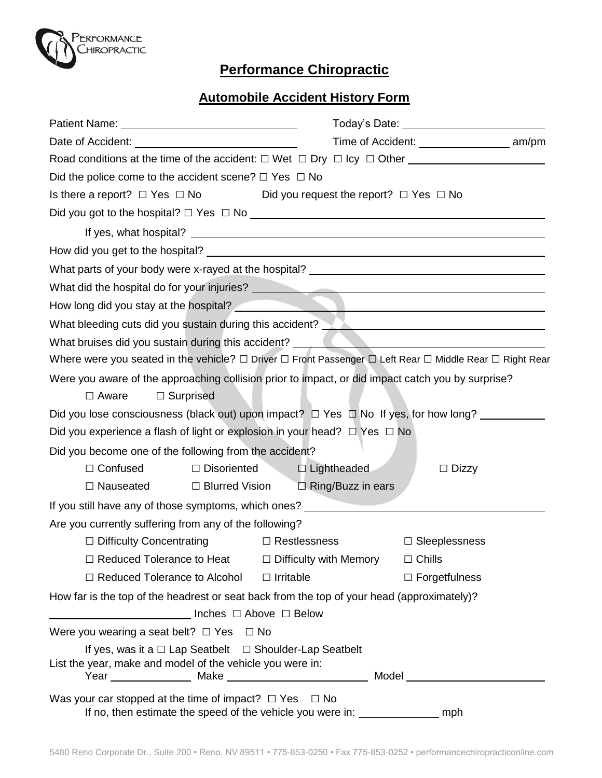

## **Performance Chiropractic**

## **Automobile Accident History Form**

| Date of Accident: Date of Accident and the state of Accident of the state of the state of the state of the state of the state of the state of the state of the state of the state of the state of the state of the state of th       | Time of Accident: ________________________ am/pm |  |
|--------------------------------------------------------------------------------------------------------------------------------------------------------------------------------------------------------------------------------------|--------------------------------------------------|--|
|                                                                                                                                                                                                                                      |                                                  |  |
| Did the police come to the accident scene? $\Box$ Yes $\Box$ No                                                                                                                                                                      |                                                  |  |
| Is there a report? $\Box$ Yes $\Box$ No<br>Did you request the report? $\Box$ Yes $\Box$ No                                                                                                                                          |                                                  |  |
|                                                                                                                                                                                                                                      |                                                  |  |
|                                                                                                                                                                                                                                      |                                                  |  |
|                                                                                                                                                                                                                                      |                                                  |  |
| What parts of your body were x-rayed at the hospital? ___________________________                                                                                                                                                    |                                                  |  |
| What did the hospital do for your injuries?<br>What did the hospital do for your injuries?                                                                                                                                           |                                                  |  |
|                                                                                                                                                                                                                                      |                                                  |  |
| What bleeding cuts did you sustain during this accident? Network and the manufactured with the United States of                                                                                                                      |                                                  |  |
| What bruises did you sustain during this accident? <b>What is a community of the contract of the contract of the contract of the contract of the contract of the contract of the contract of the contract of the contract of the</b> |                                                  |  |
| Where were you seated in the vehicle? □ Driver □ Front Passenger □ Left Rear □ Middle Rear □ Right Rear                                                                                                                              |                                                  |  |
| Were you aware of the approaching collision prior to impact, or did impact catch you by surprise?<br>$\Box$ Aware<br>$\Box$ Surprised                                                                                                |                                                  |  |
| Did you lose consciousness (black out) upon impact? $\Box$ Yes $\Box$ No If yes, for how long?                                                                                                                                       |                                                  |  |
| Did you experience a flash of light or explosion in your head? $\Box$ Yes $\Box$ No                                                                                                                                                  |                                                  |  |
| Did you become one of the following from the accident?                                                                                                                                                                               |                                                  |  |
| $\Box$ Confused<br>$\Box$ Disoriented                                                                                                                                                                                                | $\Box$ Lightheaded<br>$\Box$ Dizzy               |  |
| $\Box$ Nauseated $\Box$ Blurred Vision $\Box$ Ring/Buzz in ears                                                                                                                                                                      |                                                  |  |
| If you still have any of those symptoms, which ones?                                                                                                                                                                                 |                                                  |  |
| Are you currently suffering from any of the following?                                                                                                                                                                               |                                                  |  |
| $\Box$ Restlessness<br>$\Box$ Difficulty Concentrating                                                                                                                                                                               | $\Box$ Sleeplessness                             |  |
| $\Box$ Reduced Tolerance to Heat<br>$\Box$ Difficulty with Memory                                                                                                                                                                    | $\Box$ Chills                                    |  |
| $\Box$ Reduced Tolerance to Alcohol<br>$\Box$ Irritable                                                                                                                                                                              | $\Box$ Forgetfulness                             |  |
| How far is the top of the headrest or seat back from the top of your head (approximately)?                                                                                                                                           |                                                  |  |
| Inches □ Above □ Below                                                                                                                                                                                                               |                                                  |  |
| Were you wearing a seat belt? $\Box$ Yes $\Box$ No                                                                                                                                                                                   |                                                  |  |
| If yes, was it a $\Box$ Lap Seatbelt $\Box$ Shoulder-Lap Seatbelt<br>List the year, make and model of the vehicle you were in:                                                                                                       |                                                  |  |
| Was your car stopped at the time of impact? $\Box$ Yes $\Box$ No<br>If no, then estimate the speed of the vehicle you were in: ______________________ mph                                                                            |                                                  |  |